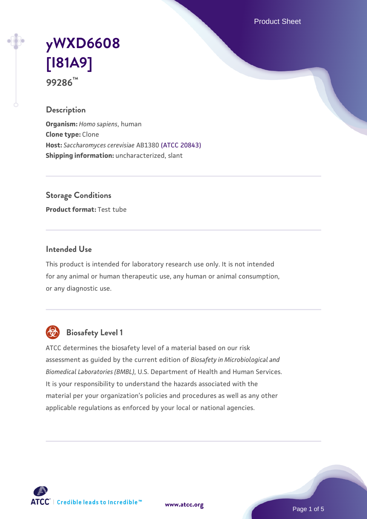Product Sheet

# **[yWXD6608](https://www.atcc.org/products/99286) [\[I81A9\]](https://www.atcc.org/products/99286) 99286™**

### **Description**

**Organism:** *Homo sapiens*, human **Clone type:** Clone **Host:** *Saccharomyces cerevisiae* AB1380 [\(ATCC 20843\)](https://www.atcc.org/products/20843) **Shipping information:** uncharacterized, slant

**Storage Conditions**

**Product format:** Test tube

#### **Intended Use**

This product is intended for laboratory research use only. It is not intended for any animal or human therapeutic use, any human or animal consumption, or any diagnostic use.



# **Biosafety Level 1**

ATCC determines the biosafety level of a material based on our risk assessment as guided by the current edition of *Biosafety in Microbiological and Biomedical Laboratories (BMBL)*, U.S. Department of Health and Human Services. It is your responsibility to understand the hazards associated with the material per your organization's policies and procedures as well as any other applicable regulations as enforced by your local or national agencies.

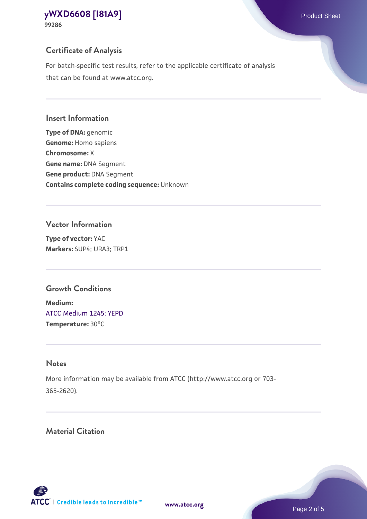# **Certificate of Analysis**

For batch-specific test results, refer to the applicable certificate of analysis that can be found at www.atcc.org.

#### **Insert Information**

**Type of DNA:** genomic **Genome:** Homo sapiens **Chromosome:** X **Gene name:** DNA Segment **Gene product:** DNA Segment **Contains complete coding sequence:** Unknown

#### **Vector Information**

**Type of vector:** YAC **Markers:** SUP4; URA3; TRP1

### **Growth Conditions**

**Medium:**  [ATCC Medium 1245: YEPD](https://www.atcc.org/-/media/product-assets/documents/microbial-media-formulations/1/2/4/5/atcc-medium-1245.pdf?rev=705ca55d1b6f490a808a965d5c072196) **Temperature:** 30°C

# **Notes**

More information may be available from ATCC (http://www.atcc.org or 703- 365-2620).

# **Material Citation**

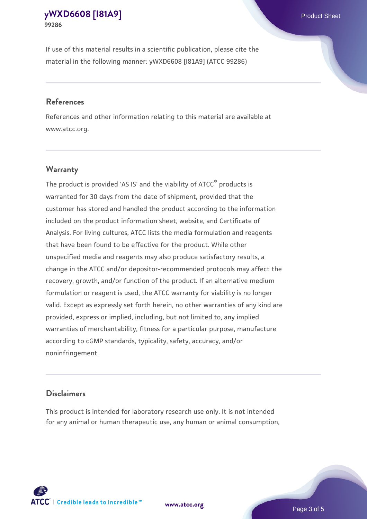If use of this material results in a scientific publication, please cite the material in the following manner: yWXD6608 [I81A9] (ATCC 99286)

#### **References**

References and other information relating to this material are available at www.atcc.org.

#### **Warranty**

The product is provided 'AS IS' and the viability of  $ATCC<sup>®</sup>$  products is warranted for 30 days from the date of shipment, provided that the customer has stored and handled the product according to the information included on the product information sheet, website, and Certificate of Analysis. For living cultures, ATCC lists the media formulation and reagents that have been found to be effective for the product. While other unspecified media and reagents may also produce satisfactory results, a change in the ATCC and/or depositor-recommended protocols may affect the recovery, growth, and/or function of the product. If an alternative medium formulation or reagent is used, the ATCC warranty for viability is no longer valid. Except as expressly set forth herein, no other warranties of any kind are provided, express or implied, including, but not limited to, any implied warranties of merchantability, fitness for a particular purpose, manufacture according to cGMP standards, typicality, safety, accuracy, and/or noninfringement.

#### **Disclaimers**

This product is intended for laboratory research use only. It is not intended for any animal or human therapeutic use, any human or animal consumption,

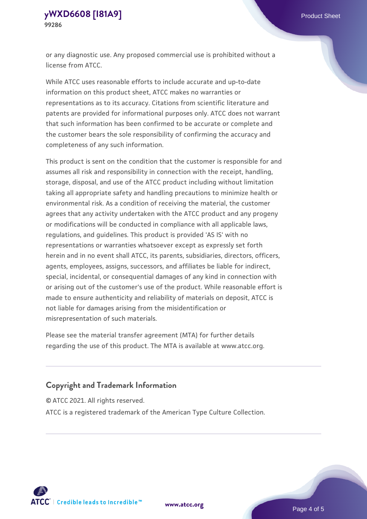or any diagnostic use. Any proposed commercial use is prohibited without a license from ATCC.

While ATCC uses reasonable efforts to include accurate and up-to-date information on this product sheet, ATCC makes no warranties or representations as to its accuracy. Citations from scientific literature and patents are provided for informational purposes only. ATCC does not warrant that such information has been confirmed to be accurate or complete and the customer bears the sole responsibility of confirming the accuracy and completeness of any such information.

This product is sent on the condition that the customer is responsible for and assumes all risk and responsibility in connection with the receipt, handling, storage, disposal, and use of the ATCC product including without limitation taking all appropriate safety and handling precautions to minimize health or environmental risk. As a condition of receiving the material, the customer agrees that any activity undertaken with the ATCC product and any progeny or modifications will be conducted in compliance with all applicable laws, regulations, and guidelines. This product is provided 'AS IS' with no representations or warranties whatsoever except as expressly set forth herein and in no event shall ATCC, its parents, subsidiaries, directors, officers, agents, employees, assigns, successors, and affiliates be liable for indirect, special, incidental, or consequential damages of any kind in connection with or arising out of the customer's use of the product. While reasonable effort is made to ensure authenticity and reliability of materials on deposit, ATCC is not liable for damages arising from the misidentification or misrepresentation of such materials.

Please see the material transfer agreement (MTA) for further details regarding the use of this product. The MTA is available at www.atcc.org.

### **Copyright and Trademark Information**

© ATCC 2021. All rights reserved.

ATCC is a registered trademark of the American Type Culture Collection.



**[www.atcc.org](http://www.atcc.org)**

Page 4 of 5